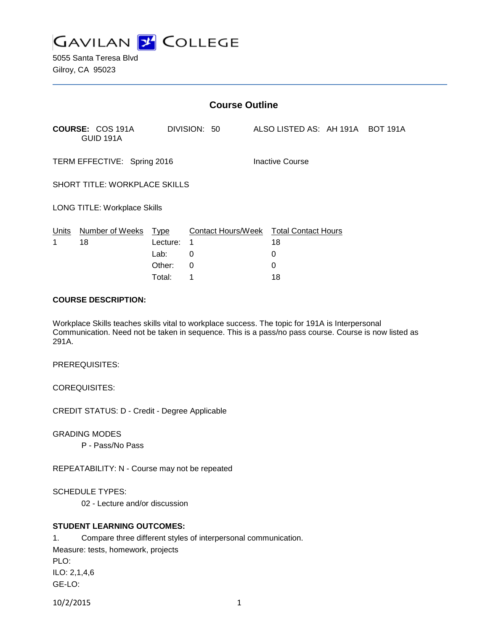

| <b>Course Outline</b>                |                                      |             |                           |                                  |  |
|--------------------------------------|--------------------------------------|-------------|---------------------------|----------------------------------|--|
|                                      | <b>COURSE: COS 191A</b><br>GUID 191A |             | DIVISION: 50              | ALSO LISTED AS: AH 191A BOT 191A |  |
| TERM EFFECTIVE: Spring 2016          |                                      |             |                           | Inactive Course                  |  |
| <b>SHORT TITLE: WORKPLACE SKILLS</b> |                                      |             |                           |                                  |  |
| LONG TITLE: Workplace Skills         |                                      |             |                           |                                  |  |
| Units                                | Number of Weeks                      | <u>Type</u> | <b>Contact Hours/Week</b> | <b>Total Contact Hours</b>       |  |
| 1                                    | 18                                   | Lecture:    | 1                         | 18                               |  |
|                                      |                                      | Lab:        | 0                         | 0                                |  |
|                                      |                                      | Other:      | 0                         | 0                                |  |
|                                      |                                      | Total:      | 1                         | 18                               |  |

### **COURSE DESCRIPTION:**

Workplace Skills teaches skills vital to workplace success. The topic for 191A is Interpersonal Communication. Need not be taken in sequence. This is a pass/no pass course. Course is now listed as 291A.

### PREREQUISITES:

COREQUISITES:

CREDIT STATUS: D - Credit - Degree Applicable

### GRADING MODES

P - Pass/No Pass

REPEATABILITY: N - Course may not be repeated

### SCHEDULE TYPES:

02 - Lecture and/or discussion

## **STUDENT LEARNING OUTCOMES:**

1. Compare three different styles of interpersonal communication. Measure: tests, homework, projects PLO: ILO: 2,1,4,6 GE-LO: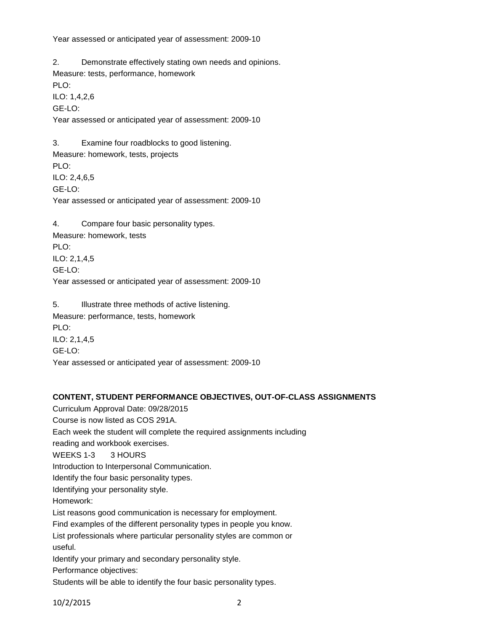Year assessed or anticipated year of assessment: 2009-10

2. Demonstrate effectively stating own needs and opinions. Measure: tests, performance, homework PLO: ILO: 1,4,2,6 GE-LO: Year assessed or anticipated year of assessment: 2009-10 3. Examine four roadblocks to good listening. Measure: homework, tests, projects PLO: ILO: 2,4,6,5 GE-LO: Year assessed or anticipated year of assessment: 2009-10 4. Compare four basic personality types. Measure: homework, tests PLO:

ILO: 2,1,4,5 GE-LO: Year assessed or anticipated year of assessment: 2009-10

5. Illustrate three methods of active listening. Measure: performance, tests, homework PLO: ILO: 2,1,4,5 GE-LO: Year assessed or anticipated year of assessment: 2009-10

#### **CONTENT, STUDENT PERFORMANCE OBJECTIVES, OUT-OF-CLASS ASSIGNMENTS**

Curriculum Approval Date: 09/28/2015 Course is now listed as COS 291A. Each week the student will complete the required assignments including reading and workbook exercises. WEEKS 1-3 3 HOURS Introduction to Interpersonal Communication. Identify the four basic personality types. Identifying your personality style. Homework: List reasons good communication is necessary for employment. Find examples of the different personality types in people you know. List professionals where particular personality styles are common or useful. Identify your primary and secondary personality style. Performance objectives: Students will be able to identify the four basic personality types.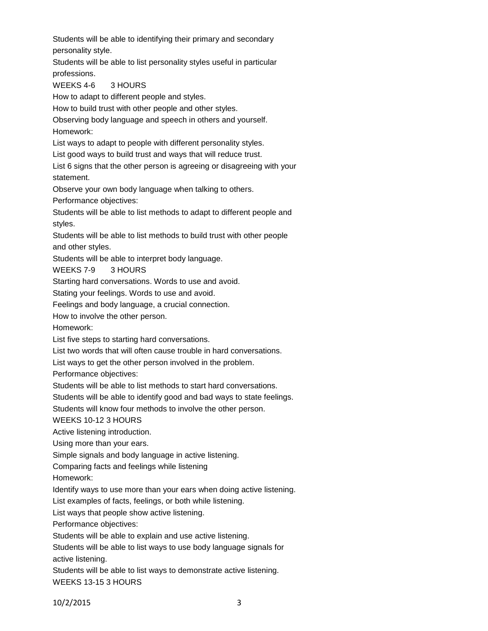Students will be able to identifying their primary and secondary personality style.

Students will be able to list personality styles useful in particular professions.

# WEEKS 4-6 3 HOURS

How to adapt to different people and styles.

How to build trust with other people and other styles.

Observing body language and speech in others and yourself. Homework:

List ways to adapt to people with different personality styles.

List good ways to build trust and ways that will reduce trust.

List 6 signs that the other person is agreeing or disagreeing with your statement.

Observe your own body language when talking to others.

Performance objectives:

Students will be able to list methods to adapt to different people and styles.

Students will be able to list methods to build trust with other people and other styles.

Students will be able to interpret body language.

# WEEKS 7-9 3 HOURS

Starting hard conversations. Words to use and avoid.

Stating your feelings. Words to use and avoid.

Feelings and body language, a crucial connection.

How to involve the other person.

Homework:

List five steps to starting hard conversations.

List two words that will often cause trouble in hard conversations.

List ways to get the other person involved in the problem.

Performance objectives:

Students will be able to list methods to start hard conversations.

Students will be able to identify good and bad ways to state feelings.

Students will know four methods to involve the other person.

WEEKS 10-12 3 HOURS

Active listening introduction.

Using more than your ears.

Simple signals and body language in active listening.

Comparing facts and feelings while listening

Homework:

Identify ways to use more than your ears when doing active listening.

List examples of facts, feelings, or both while listening.

List ways that people show active listening.

Performance objectives:

Students will be able to explain and use active listening.

Students will be able to list ways to use body language signals for active listening.

Students will be able to list ways to demonstrate active listening.

WEEKS 13-15 3 HOURS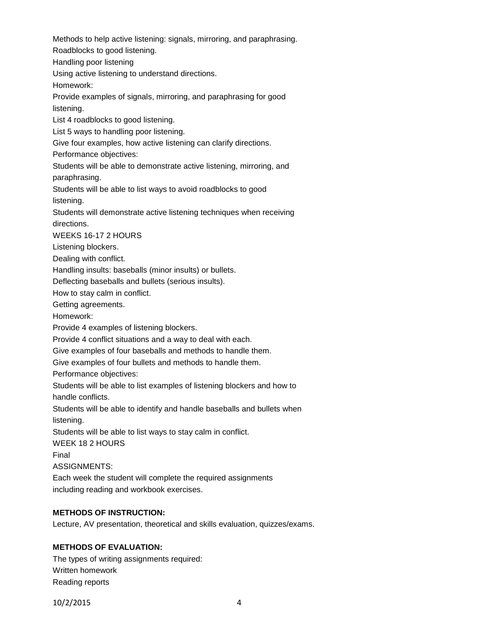Methods to help active listening: signals, mirroring, and paraphrasing. Roadblocks to good listening. Handling poor listening Using active listening to understand directions. Homework: Provide examples of signals, mirroring, and paraphrasing for good listening. List 4 roadblocks to good listening. List 5 ways to handling poor listening. Give four examples, how active listening can clarify directions. Performance objectives: Students will be able to demonstrate active listening, mirroring, and paraphrasing. Students will be able to list ways to avoid roadblocks to good listening. Students will demonstrate active listening techniques when receiving directions. WEEKS 16-17 2 HOURS Listening blockers. Dealing with conflict. Handling insults: baseballs (minor insults) or bullets. Deflecting baseballs and bullets (serious insults). How to stay calm in conflict. Getting agreements. Homework: Provide 4 examples of listening blockers. Provide 4 conflict situations and a way to deal with each. Give examples of four baseballs and methods to handle them. Give examples of four bullets and methods to handle them. Performance objectives: Students will be able to list examples of listening blockers and how to handle conflicts. Students will be able to identify and handle baseballs and bullets when listening. Students will be able to list ways to stay calm in conflict. WEEK 18 2 HOURS Final ASSIGNMENTS: Each week the student will complete the required assignments including reading and workbook exercises.

# **METHODS OF INSTRUCTION:**

Lecture, AV presentation, theoretical and skills evaluation, quizzes/exams.

# **METHODS OF EVALUATION:**

The types of writing assignments required: Written homework Reading reports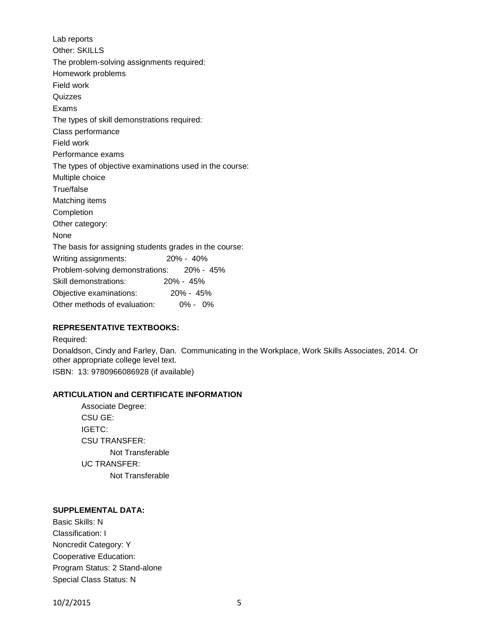Lab reports Other: SKILLS The problem-solving assignments required: Homework problems Field work Quizzes Exams The types of skill demonstrations required: Class performance Field work Performance exams The types of objective examinations used in the course: Multiple choice True/false Matching items Completion Other category: None The basis for assigning students grades in the course: Writing assignments: 20% - 40% Problem-solving demonstrations: 20% - 45% Skill demonstrations: 20% - 45% Objective examinations: 20% - 45% Other methods of evaluation: 0% - 0%

#### **REPRESENTATIVE TEXTBOOKS:**

Required: Donaldson, Cindy and Farley, Dan. Communicating in the Workplace, Work Skills Associates, 2014. Or other appropriate college level text. ISBN: 13: 9780966086928 (if available)

## **ARTICULATION and CERTIFICATE INFORMATION**

Associate Degree: CSU GE: IGETC: CSU TRANSFER: Not Transferable UC TRANSFER: Not Transferable

# **SUPPLEMENTAL DATA:**

Basic Skills: N Classification: I Noncredit Category: Y Cooperative Education: Program Status: 2 Stand-alone Special Class Status: N